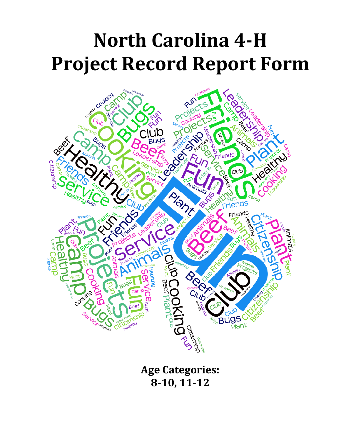# **North Carolina 4-H Project Record Report Form**



**Age Categories: 8-10, 11-12**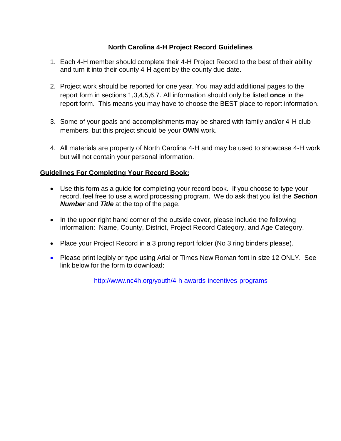#### **North Carolina 4-H Project Record Guidelines**

- 1. Each 4-H member should complete their 4-H Project Record to the best of their ability and turn it into their county 4-H agent by the county due date.
- 2. Project work should be reported for one year. You may add additional pages to the report form in sections 1,3,4,5,6,7. All information should only be listed **once** in the report form. This means you may have to choose the BEST place to report information.
- 3. Some of your goals and accomplishments may be shared with family and/or 4-H club members, but this project should be your **OWN** work.
- 4. All materials are property of North Carolina 4-H and may be used to showcase 4-H work but will not contain your personal information.

#### **Guidelines For Completing Your Record Book:**

- Use this form as a guide for completing your record book. If you choose to type your record, feel free to use a word processing program. We do ask that you list the *Section Number* and *Title* at the top of the page.
- In the upper right hand corner of the outside cover, please include the following information: Name, County, District, Project Record Category, and Age Category.
- Place your Project Record in a 3 prong report folder (No 3 ring binders please).
- Please print legibly or type using Arial or Times New Roman font in size 12 ONLY. See link below for the form to download:

<http://www.nc4h.org/youth/4-h-awards-incentives-programs>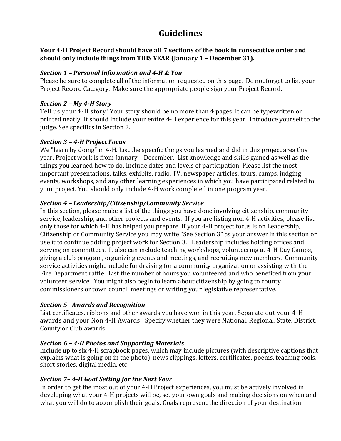## **Guidelines**

#### **Your 4-H Project Record should have all 7 sections of the book in consecutive order and should only include things from THIS YEAR (January 1 – December 31).**

#### *Section 1 – Personal Information and 4-H & You*

Please be sure to complete all of the information requested on this page. Do not forget to list your Project Record Category. Make sure the appropriate people sign your Project Record.

#### *Section 2 – My 4-H Story*

Tell us your 4-H story! Your story should be no more than 4 pages. It can be typewritten or printed neatly. It should include your entire 4-H experience for this year. Introduce yourself to the judge. See specifics in Section 2.

#### *Section 3 – 4-H Project Focus*

We "learn by doing" in 4-H. List the specific things you learned and did in this project area this year. Project work is from January – December. List knowledge and skills gained as well as the things you learned how to do. Include dates and levels of participation. Please list the most important presentations, talks, exhibits, radio, TV, newspaper articles, tours, camps, judging events, workshops, and any other learning experiences in which you have participated related to your project. You should only include 4-H work completed in one program year.

#### *Section 4 – Leadership/Citizenship/Community Service*

In this section, please make a list of the things you have done involving citizenship, community service, leadership, and other projects and events. If you are listing non 4-H activities, please list only those for which 4-H has helped you prepare. If your 4-H project focus is on Leadership, Citizenship or Community Service you may write "See Section 3" as your answer in this section or use it to continue adding project work for Section 3. Leadership includes holding offices and serving on committees. It also can include teaching workshops, volunteering at 4-H Day Camps, giving a club program, organizing events and meetings, and recruiting new members. Community service activities might include fundraising for a community organization or assisting with the Fire Department raffle. List the number of hours you volunteered and who benefited from your volunteer service. You might also begin to learn about citizenship by going to county commissioners or town council meetings or writing your legislative representative.

#### *Section 5 –Awards and Recognition*

List certificates, ribbons and other awards you have won in this year. Separate out your 4-H awards and your Non 4-H Awards. Specify whether they were National, Regional, State, District, County or Club awards.

#### *Section 6 – 4-H Photos and Supporting Materials*

Include up to six 4-H scrapbook pages, which may include pictures (with descriptive captions that explains what is going on in the photo), news clippings, letters, certificates, poems, teaching tools, short stories, digital media, etc.

#### *Section 7– 4-H Goal Setting for the Next Year*

In order to get the most out of your 4-H Project experiences, you must be actively involved in developing what your 4-H projects will be, set your own goals and making decisions on when and what you will do to accomplish their goals. Goals represent the direction of your destination.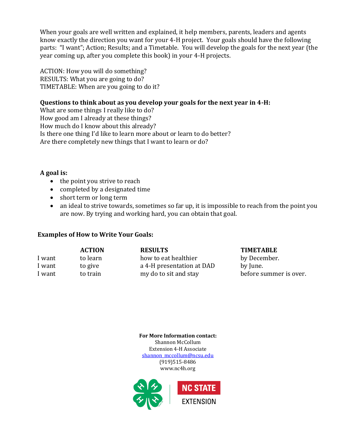When your goals are well written and explained, it help members, parents, leaders and agents know exactly the direction you want for your 4-H project. Your goals should have the following parts: "I want"; Action; Results; and a Timetable. You will develop the goals for the next year (the year coming up, after you complete this book) in your 4-H projects.

ACTION: How you will do something? RESULTS: What you are going to do? TIMETABLE: When are you going to do it?

#### **Questions to think about as you develop your goals for the next year in 4-H:**

What are some things I really like to do? How good am I already at these things? How much do I know about this already? Is there one thing I'd like to learn more about or learn to do better? Are there completely new things that I want to learn or do?

#### **A goal is:**

- the point you strive to reach
- completed by a designated time
- short term or long term
- an ideal to strive towards, sometimes so far up, it is impossible to reach from the point you are now. By trying and working hard, you can obtain that goal.

#### **Examples of How to Write Your Goals:**

|        | <b>ACTION</b> | <b>RESULTS</b>            | <b>TIMETABLE</b>       |
|--------|---------------|---------------------------|------------------------|
| I want | to learn      | how to eat healthier      | by December.           |
| I want | to give       | a 4-H presentation at DAD | by June.               |
| I want | to train      | my do to sit and stay     | before summer is over. |

**For More Information contact:** Shannon McCollum Extension 4-H Associate shannon mccollum@ncsu.edu (919)515-8486 www.nc4h.org

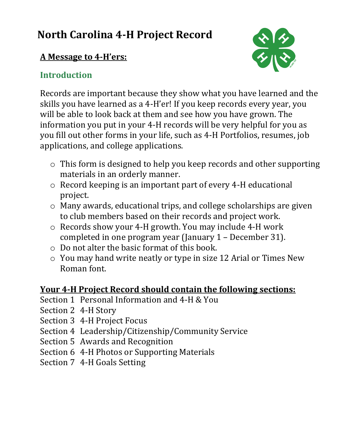# **North Carolina 4-H Project Record**

# **A Message to 4-H'ers:**

# **Introduction**

Records are important because they show what you have learned and the skills you have learned as a 4-H'er! If you keep records every year, you will be able to look back at them and see how you have grown. The information you put in your 4-H records will be very helpful for you as you fill out other forms in your life, such as 4-H Portfolios, resumes, job applications, and college applications.

- o This form is designed to help you keep records and other supporting materials in an orderly manner.
- o Record keeping is an important part of every 4-H educational project.
- o Many awards, educational trips, and college scholarships are given to club members based on their records and project work.
- o Records show your 4-H growth. You may include 4-H work completed in one program year (January 1 – December 31).
- o Do not alter the basic format of this book.
- o You may hand write neatly or type in size 12 Arial or Times New Roman font.

# **Your 4-H Project Record should contain the following sections:**

- Section 1 Personal Information and 4-H & You
- Section 2 4-H Story
- Section 3 4-H Project Focus
- Section 4 Leadership/Citizenship/Community Service
- Section 5 Awards and Recognition
- Section 6 4-H Photos or Supporting Materials
- Section 7 4-H Goals Setting

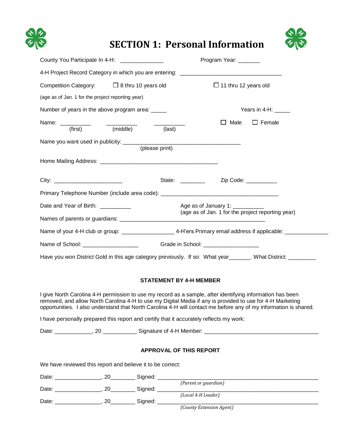

# **SECTION 1: Personal Information**

| s |
|---|

| County You Participate In 4-H: _____________      | Program Year: ______                                                                                                 |
|---------------------------------------------------|----------------------------------------------------------------------------------------------------------------------|
|                                                   |                                                                                                                      |
| Competition Category: $\Box$ 8 thru 10 years old  | $\Box$ 11 thru 12 years old                                                                                          |
| (age as of Jan. 1 for the project reporting year) |                                                                                                                      |
| Number of years in the above program area: _____  | Years in 4-H: ____                                                                                                   |
| Name: (first) (middle) (last)                     | Male<br>$\Box$ Female                                                                                                |
|                                                   |                                                                                                                      |
|                                                   |                                                                                                                      |
|                                                   | State: ___________ Zip Code: _________                                                                               |
|                                                   | Primary Telephone Number (include area code): ___________________________________                                    |
| Date and Year of Birth: __________                | Age as of January 1:                                                                                                 |
|                                                   | (age as of Jan. 1 for the project reporting year)                                                                    |
|                                                   | Name of your 4-H club or group: ________________________4-H'ers Primary email address if applicable: _______________ |
| Name of School: _____________________             | Grade in School: ____________________                                                                                |
|                                                   | Have you won District Gold in this age category previously. If so: What year______. What District: __________        |

#### **STATEMENT BY 4-H MEMBER**

I give North Carolina 4-H permission to use my record as a sample, after identifying information has been removed, and allow North Carolina 4-H to use my Digital Media if any is provided to use for 4-H Marketing opportunities. I also understand that North Carolina 4-H will contact me before any of my information is shared.

I have personally prepared this report and certify that it accurately reflects my work:

Date: \_\_\_\_\_\_\_\_\_\_\_\_, 20 \_\_\_\_\_\_\_\_\_\_\_ Signature of 4-H Member: \_\_\_\_\_\_\_\_\_\_\_\_\_\_\_\_\_\_\_\_\_\_\_\_\_\_\_\_\_\_\_\_\_\_\_\_\_

#### **APPROVAL OF THIS REPORT**

We have reviewed this report and believe it to be correct:

| Date: | Signed: |                          |  |
|-------|---------|--------------------------|--|
|       |         | (Parent or guardian)     |  |
| Date: | Signed: |                          |  |
|       |         | (Local 4-H Leader)       |  |
| Date: | Signed: |                          |  |
|       |         | (County Extension Agent) |  |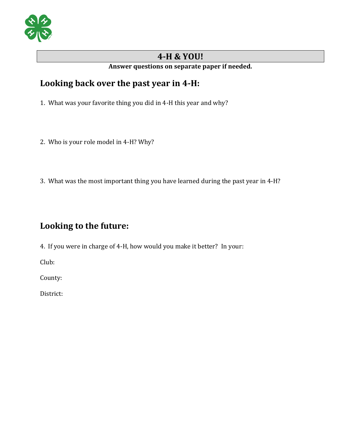

### **4-H & YOU!**

#### **Answer questions on separate paper if needed.**

## **Looking back over the past year in 4-H:**

1. What was your favorite thing you did in 4-H this year and why?

- 2. Who is your role model in 4-H? Why?
- 3. What was the most important thing you have learned during the past year in 4-H?

# **Looking to the future:**

4. If you were in charge of 4-H, how would you make it better? In your:

Club:

County:

District: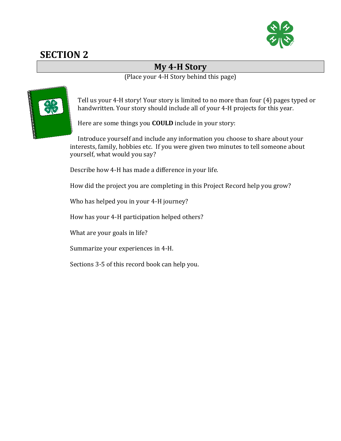

## **My 4-H Story**

(Place your 4-H Story behind this page)



Tell us your 4-H story! Your story is limited to no more than four (4) pages typed or handwritten. Your story should include all of your 4-H projects for this year*.*

Here are some things you **COULD** include in your story:

Introduce yourself and include any information you choose to share about your interests, family, hobbies etc. If you were given two minutes to tell someone about yourself, what would you say?

Describe how 4-H has made a difference in your life.

How did the project you are completing in this Project Record help you grow?

Who has helped you in your 4-H journey?

How has your 4-H participation helped others?

What are your goals in life?

Summarize your experiences in 4-H.

Sections 3-5 of this record book can help you.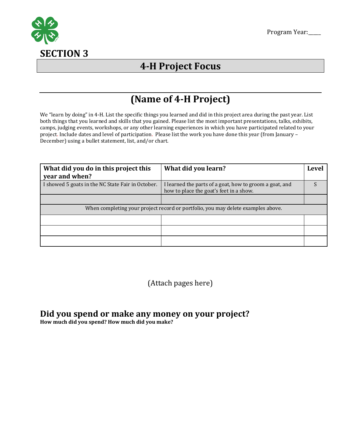

# **4-H Project Focus**

# **(Name of 4-H Project)**

We "learn by doing" in 4-H. List the specific things you learned and did in this project area during the past year. List both things that you learned and skills that you gained. Please list the most important presentations, talks, exhibits, camps, judging events, workshops, or any other learning experiences in which you have participated related to your project. Include dates and level of participation. Please list the work you have done this year (from January – December) using a bullet statement, list, and/or chart.

| What did you do in this project this<br>year and when? | What did you learn?                                                                                | Level |
|--------------------------------------------------------|----------------------------------------------------------------------------------------------------|-------|
| I showed 5 goats in the NC State Fair in October.      | I learned the parts of a goat, how to groom a goat, and<br>how to place the goat's feet in a show. |       |
|                                                        |                                                                                                    |       |
|                                                        | When completing your project record or portfolio, you may delete examples above.                   |       |
|                                                        |                                                                                                    |       |
|                                                        |                                                                                                    |       |
|                                                        |                                                                                                    |       |

(Attach pages here)

## **Did you spend or make any money on your project?**

**How much did you spend? How much did you make?**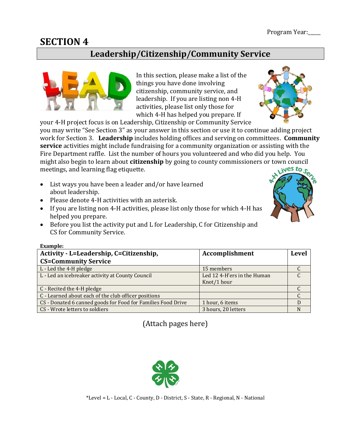## **Leadership/Citizenship/Community Service**



In this section, please make a list of the things you have done involving citizenship, community service, and leadership. If you are listing non 4-H activities, please list only those for which 4-H has helped you prepare. If

your 4-H project focus is on Leadership, Citizenship or Community Service you may write "See Section 3" as your answer in this section or use it to continue adding project work for Section 3. **Leadership** includes holding offices and serving on committees. **Community service** activities might include fundraising for a community organization or assisting with the Fire Department raffle. List the number of hours you volunteered and who did you help. You might also begin to learn about **citizenship** by going to county commissioners or town council meetings, and learning flag etiquette.

- List ways you have been a leader and/or have learned about leadership.
- Please denote 4-H activities with an asterisk.
- If you are listing non 4-H activities, please list only those for which 4-H has helped you prepare.
- Before you list the activity put and L for Leadership, C for Citizenship and CS for Community Service.

| <b>Example:</b>                                              |                             |              |
|--------------------------------------------------------------|-----------------------------|--------------|
| Activity - L=Leadership, C=Citizenship,                      | Accomplishment              | <b>Level</b> |
| <b>CS=Community Service</b>                                  |                             |              |
| L - Led the 4-H pledge                                       | 15 members                  |              |
| L - Led an icebreaker activity at County Council             | Led 12 4-H'ers in the Human |              |
|                                                              | Knot/1 hour                 |              |
| C - Recited the 4-H pledge                                   |                             |              |
| C - Learned about each of the club officer positions         |                             |              |
| CS - Donated 6 canned goods for Food for Families Food Drive | 1 hour, 6 items             | D            |
| CS - Wrote letters to soldiers                               | 3 hours, 20 letters         | N            |

(Attach pages here)





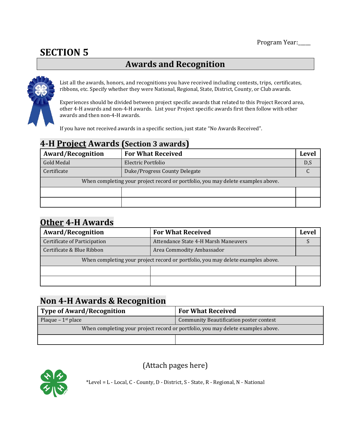# **Awards and Recognition**



List all the awards, honors, and recognitions you have received including contests, trips, certificates, ribbons, etc. Specify whether they were National, Regional, State, District, County, or Club awards.

Experiences should be divided between project specific awards that related to this Project Record area, other 4-H awards and non-4-H awards. List your Project specific awards first then follow with other awards and then non-4-H awards.

If you have not received awards in a specific section, just state "No Awards Received".

| T II I I VICCLIIWAI AS                                                           | $5$ ctron $5$ awards          |              |
|----------------------------------------------------------------------------------|-------------------------------|--------------|
| <b>Award/Recognition</b>                                                         | <b>For What Received</b>      | <b>Level</b> |
| Gold Medal                                                                       | Electric Portfolio            | D,S          |
| Certificate                                                                      | Duke/Progress County Delegate |              |
| When completing your project record or portfolio, you may delete examples above. |                               |              |
|                                                                                  |                               |              |
|                                                                                  |                               |              |

## **4-H Project Awards (Section 3 awards)**

## **Other 4-H Awards**

| <b>Award/Recognition</b>                                                         | <b>For What Received</b>             | Level |  |
|----------------------------------------------------------------------------------|--------------------------------------|-------|--|
| Certificate of Participation                                                     | Attendance State 4-H Marsh Maneuvers |       |  |
| Certificate & Blue Ribbon                                                        | Area Commodity Ambassador            |       |  |
| When completing your project record or portfolio, you may delete examples above. |                                      |       |  |
|                                                                                  |                                      |       |  |
|                                                                                  |                                      |       |  |

# **Non 4-H Awards & Recognition**

| <b>Type of Award/Recognition</b>                                                 | <b>For What Received</b>                |
|----------------------------------------------------------------------------------|-----------------------------------------|
| Plaque – $1st$ place                                                             | Community Beautification poster contest |
| When completing your project record or portfolio, you may delete examples above. |                                         |
|                                                                                  |                                         |



(Attach pages here)

\*Level = L - Local, C - County, D - District, S - State, R - Regional, N - National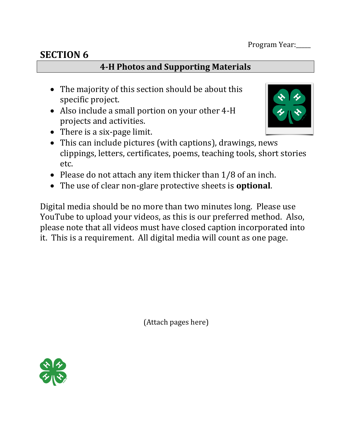## **4-H Photos and Supporting Materials**

- The majority of this section should be about this specific project.
- Also include a small portion on your other 4-H projects and activities.



- There is a six-page limit.
- This can include pictures (with captions), drawings, news clippings, letters, certificates, poems, teaching tools, short stories etc.
- Please do not attach any item thicker than 1/8 of an inch.
- The use of clear non-glare protective sheets is **optional**.

Digital media should be no more than two minutes long. Please use YouTube to upload your videos, as this is our preferred method. Also, please note that all videos must have closed caption incorporated into it. This is a requirement. All digital media will count as one page.

(Attach pages here)

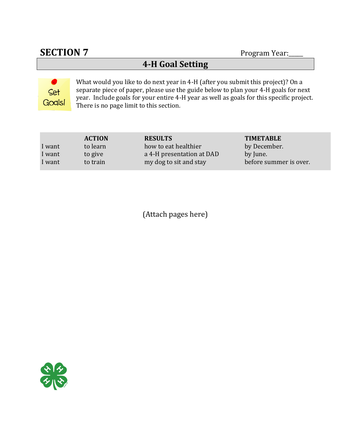# **SECTION 7** Program Year:

# **4-H Goal Setting**



What would you like to do next year in 4-H (after you submit this project)? On a separate piece of paper, please use the guide below to plan your 4-H goals for next year. Include goals for your entire 4-H year as well as goals for this specific project. There is no page limit to this section.

|        | <b>ACTION</b> | <b>RESULTS</b>            | <b>TIMETABLE</b>       |
|--------|---------------|---------------------------|------------------------|
| I want | to learn      | how to eat healthier      | by December.           |
| I want | to give       | a 4-H presentation at DAD | by June.               |
| I want | to train      | my dog to sit and stay    | before summer is over. |

(Attach pages here)